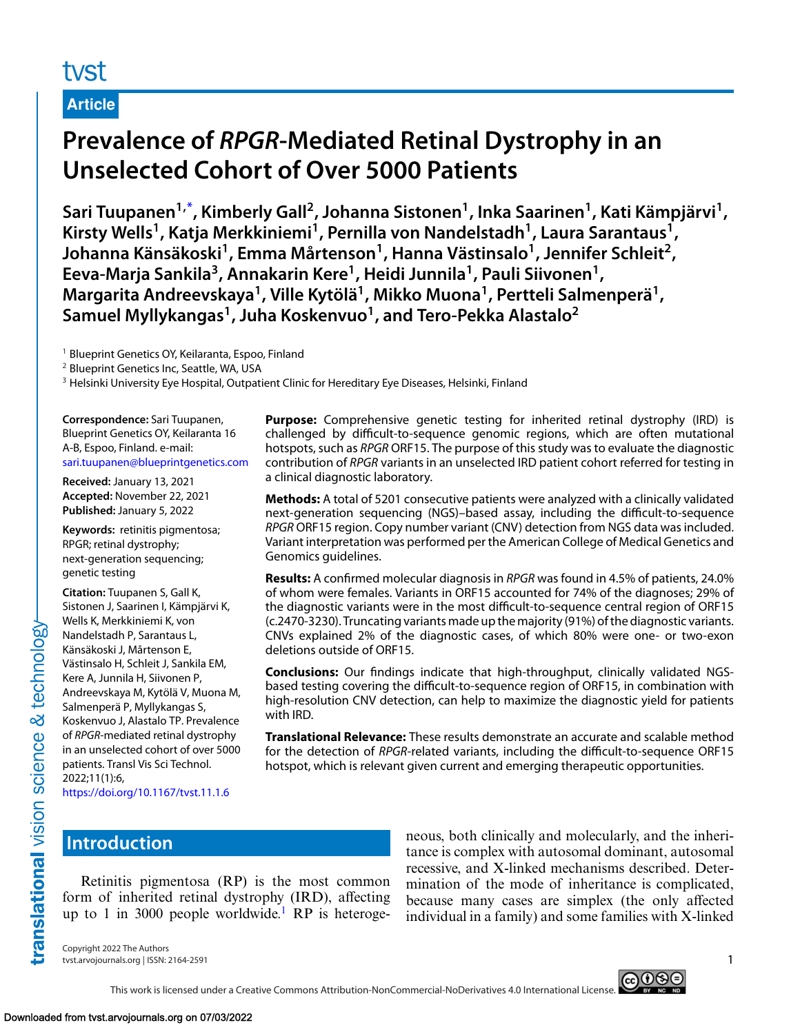# tyst

#### **Article**

# **Prevalence of** *RPGR***-Mediated Retinal Dystrophy in an Unselected Cohort of Over 5000 Patients**

**Sari Tuupanen1,\* , Kimberly Gall2, Johanna Sistonen1, Inka Saarinen1, Kati Kämpjärvi1,** Kirsty Wells<sup>1</sup>, Katja Merkkiniemi<sup>1</sup>, Pernilla von Nandelstadh<sup>1</sup>, Laura Sarantaus<sup>1</sup>, **Johanna Känsäkoski1, Emma Mårtenson1, Hanna Västinsalo1, Jennifer Schleit2, Eeva-Marja Sankila3, Annakarin Kere1, Heidi Junnila1, Pauli Siivonen1, Margarita Andreevskaya1, Ville Kytölä1, Mikko Muona1, Pertteli Salmenperä1,** Samuel Myllykangas<sup>1</sup>, Juha Koskenvuo<sup>1</sup>, and Tero-Pekka Alastalo<sup>2</sup>

<sup>1</sup> Blueprint Genetics OY, Keilaranta, Espoo, Finland

<sup>2</sup> Blueprint Genetics Inc, Seattle, WA, USA

<sup>3</sup> Helsinki University Eye Hospital, Outpatient Clinic for Hereditary Eye Diseases, Helsinki, Finland

**Correspondence:** Sari Tuupanen, Blueprint Genetics OY, Keilaranta 16 A-B, Espoo, Finland. e-mail: [sari.tuupanen@blueprintgenetics.com](mailto:sari.tuupanen@blueprintgenetics.com)

**Received:** January 13, 2021 **Accepted:** November 22, 2021 **Published:** January 5, 2022

**Keywords:** retinitis pigmentosa; RPGR; retinal dystrophy; next-generation sequencing; genetic testing

**Citation:** Tuupanen S, Gall K, Sistonen J, Saarinen I, Kämpjärvi K, Wells K, Merkkiniemi K, von Nandelstadh P, Sarantaus L, Känsäkoski J, Mårtenson E, Västinsalo H, Schleit J, Sankila EM, Kere A, Junnila H, Siivonen P, Andreevskaya M, Kytölä V, Muona M, Salmenperä P, Myllykangas S, Koskenvuo J, Alastalo TP. Prevalence of *RPGR*-mediated retinal dystrophy in an unselected cohort of over 5000 patients. Transl Vis Sci Technol. 2022;11(1):6,

**Purpose:** Comprehensive genetic testing for inherited retinal dystrophy (IRD) is challenged by difficult-to-sequence genomic regions, which are often mutational hotspots, such as *RPGR* ORF15. The purpose of this study was to evaluate the diagnostic contribution of *RPGR* variants in an unselected IRD patient cohort referred for testing in a clinical diagnostic laboratory.

**Methods:** A total of 5201 consecutive patients were analyzed with a clinically validated next-generation sequencing (NGS)–based assay, including the difficult-to-sequence *RPGR* ORF15 region. Copy number variant (CNV) detection from NGS data was included. Variant interpretation was performed per the American College of Medical Genetics and Genomics guidelines.

**Results:** A confirmed molecular diagnosis in *RPGR* was found in 4.5% of patients, 24.0% of whom were females. Variants in ORF15 accounted for 74% of the diagnoses; 29% of the diagnostic variants were in the most difficult-to-sequence central region of ORF15 (c.2470-3230). Truncating variants made up the majority (91%) of the diagnostic variants. CNVs explained 2% of the diagnostic cases, of which 80% were one- or two-exon deletions outside of ORF15.

**Conclusions:** Our findings indicate that high-throughput, clinically validated NGSbased testing covering the difficult-to-sequence region of ORF15, in combination with high-resolution CNV detection, can help to maximize the diagnostic yield for patients with IRD.

**Translational Relevance:** These results demonstrate an accurate and scalable method for the detection of *RPGR*-related variants, including the difficult-to-sequence ORF15 hotspot, which is relevant given current and emerging therapeutic opportunities.

<https://doi.org/10.1167/tvst.11.1.6>

# **Introduction**

Retinitis pigmentosa (RP) is the most common form of inherited retinal dystrophy (IRD), affecting up to [1](#page-6-0) in 3000 people worldwide.<sup>1</sup> RP is heterogeneous, both clinically and molecularly, and the inheritance is complex with autosomal dominant, autosomal recessive, and X-linked mechanisms described. Determination of the mode of inheritance is complicated, because many cases are simplex (the only affected individual in a family) and some families with X-linked

Copyright 2022 The Authors tvst.arvojournals.org | ISSN: 2164-2591 1

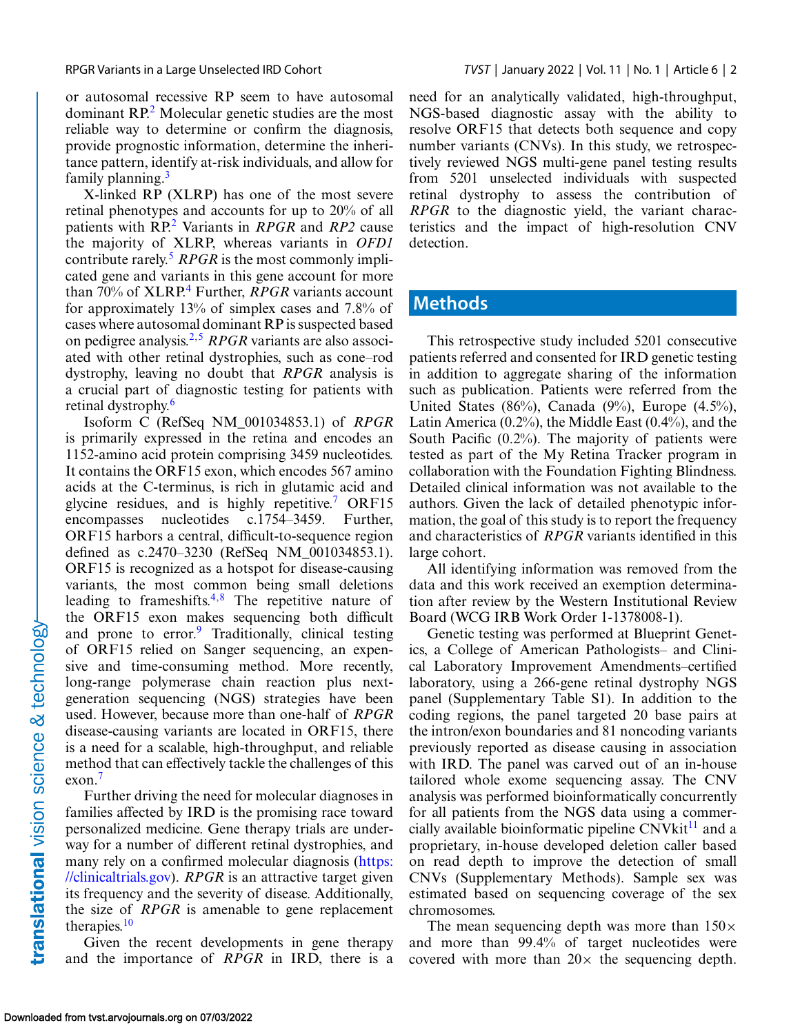or autosomal recessive RP seem to have autosomal dominant RP[.2](#page-6-0) Molecular genetic studies are the most reliable way to determine or confirm the diagnosis, provide prognostic information, determine the inheritance pattern, identify at-risk individuals, and allow for family planning.<sup>[3](#page-6-0)</sup>

X-linked RP (XLRP) has one of the most severe retinal phenotypes and accounts for up to 20% of all patients with RP.[2](#page-6-0) Variants in *RPGR* and *RP2* cause the majority of XLRP, whereas variants in *OFD1* contribute rarely.<sup>[5](#page-6-0)</sup> *RPGR* is the most commonly implicated gene and variants in this gene account for more than 70% of XLRP.<sup>4</sup> Further, *RPGR* variants account for approximately 13% of simplex cases and 7.8% of cases where autosomal dominant RP is suspected based on pedigree analysis.[2,5](#page-6-0) *RPGR* variants are also associated with other retinal dystrophies, such as cone–rod dystrophy, leaving no doubt that *RPGR* analysis is a crucial part of diagnostic testing for patients with retinal dystrophy.<sup>[6](#page-6-0)</sup>

Isoform C (RefSeq NM\_001034853.1) of *RPGR* is primarily expressed in the retina and encodes an 1152-amino acid protein comprising 3459 nucleotides. It contains the ORF15 exon, which encodes 567 amino acids at the C-terminus, is rich in glutamic acid and glycine residues, and is highly repetitive.<sup>7</sup> ORF15 encompasses nucleotides c.1754–3459. Further, ORF15 harbors a central, difficult-to-sequence region defined as c.2470–3230 (RefSeq NM\_001034853.1). ORF15 is recognized as a hotspot for disease-causing variants, the most common being small deletions leading to frameshifts[.4,8](#page-6-0) The repetitive nature of the ORF15 exon makes sequencing both difficult and prone to error.<sup>9</sup> Traditionally, clinical testing of ORF15 relied on Sanger sequencing, an expensive and time-consuming method. More recently, long-range polymerase chain reaction plus nextgeneration sequencing (NGS) strategies have been used. However, because more than one-half of *RPGR* disease-causing variants are located in ORF15, there is a need for a scalable, high-throughput, and reliable method that can effectively tackle the challenges of this exon[.7](#page-6-0)

Further driving the need for molecular diagnoses in families affected by IRD is the promising race toward personalized medicine. Gene therapy trials are underway for a number of different retinal dystrophies, and [many rely on a confirmed molecular diagnosis \(https:](https://clinicaltrials.gov) //clinicaltrials.gov). *RPGR* is an attractive target given its frequency and the severity of disease. Additionally, the size of *RPGR* is amenable to gene replacement therapies[.10](#page-6-0)

Given the recent developments in gene therapy and the importance of *RPGR* in IRD, there is a need for an analytically validated, high-throughput, NGS-based diagnostic assay with the ability to resolve ORF15 that detects both sequence and copy number variants (CNVs). In this study, we retrospectively reviewed NGS multi-gene panel testing results from 5201 unselected individuals with suspected retinal dystrophy to assess the contribution of *RPGR* to the diagnostic yield, the variant characteristics and the impact of high-resolution CNV detection.

### **Methods**

This retrospective study included 5201 consecutive patients referred and consented for IRD genetic testing in addition to aggregate sharing of the information such as publication. Patients were referred from the United States (86%), Canada (9%), Europe  $(4.5\%)$ , Latin America (0.2%), the Middle East (0.4%), and the South Pacific (0.2%). The majority of patients were tested as part of the My Retina Tracker program in collaboration with the Foundation Fighting Blindness. Detailed clinical information was not available to the authors. Given the lack of detailed phenotypic information, the goal of this study is to report the frequency and characteristics of *RPGR* variants identified in this large cohort.

All identifying information was removed from the data and this work received an exemption determination after review by the Western Institutional Review Board (WCG IRB Work Order 1-1378008-1).

Genetic testing was performed at Blueprint Genetics, a College of American Pathologists– and Clinical Laboratory Improvement Amendments–certified laboratory, using a 266-gene retinal dystrophy NGS panel (Supplementary Table S1). In addition to the coding regions, the panel targeted 20 base pairs at the intron/exon boundaries and 81 noncoding variants previously reported as disease causing in association with IRD. The panel was carved out of an in-house tailored whole exome sequencing assay. The CNV analysis was performed bioinformatically concurrently for all patients from the NGS data using a commercially available bioinformatic pipeline  $CNV$ kit $^{11}$  $^{11}$  $^{11}$  and a proprietary, in-house developed deletion caller based on read depth to improve the detection of small CNVs (Supplementary Methods). Sample sex was estimated based on sequencing coverage of the sex chromosomes.

The mean sequencing depth was more than  $150\times$ and more than 99.4% of target nucleotides were covered with more than  $20 \times$  the sequencing depth.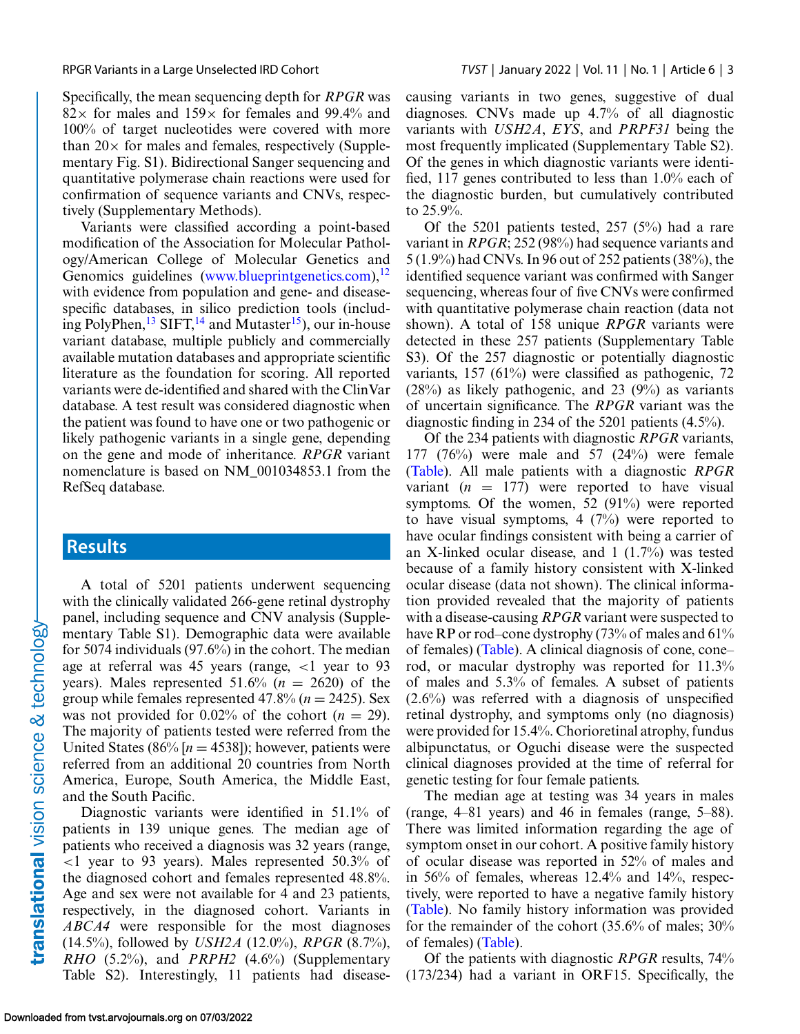Specifically, the mean sequencing depth for *RPGR* was  $82\times$  for males and  $159\times$  for females and 99.4% and 100% of target nucleotides were covered with more than  $20 \times$  for males and females, respectively (Supplementary Fig. S1). Bidirectional Sanger sequencing and quantitative polymerase chain reactions were used for confirmation of sequence variants and CNVs, respectively (Supplementary Methods).

Variants were classified according a point-based modification of the Association for Molecular Pathology/American College of Molecular Genetics and Genomics guidelines [\(www.blueprintgenetics.com\)](http://www.blueprintgenetics.com), $^{12}$  $^{12}$  $^{12}$ with evidence from population and gene- and diseasespecific databases, in silico prediction tools (including PolyPhen,  $^{13}$  SIFT,  $^{14}$  $^{14}$  $^{14}$  and Mutaster<sup>15</sup>), our in-house variant database, multiple publicly and commercially available mutation databases and appropriate scientific literature as the foundation for scoring. All reported variants were de-identified and shared with the ClinVar database. A test result was considered diagnostic when the patient was found to have one or two pathogenic or likely pathogenic variants in a single gene, depending on the gene and mode of inheritance. *RPGR* variant nomenclature is based on NM\_001034853.1 from the RefSeq database.

#### **Results**

A total of 5201 patients underwent sequencing with the clinically validated 266-gene retinal dystrophy panel, including sequence and CNV analysis (Supplementary Table S1). Demographic data were available for 5074 individuals (97.6%) in the cohort. The median age at referral was 45 years (range,  $\langle 1 \rangle$  year to 93 years). Males represented  $51.6\%$  ( $n = 2620$ ) of the group while females represented  $47.8\%$  ( $n = 2425$ ). Sex was not provided for  $0.02\%$  of the cohort ( $n = 29$ ). The majority of patients tested were referred from the United States (86%  $[n = 4538]$ ); however, patients were referred from an additional 20 countries from North America, Europe, South America, the Middle East, and the South Pacific.

Diagnostic variants were identified in 51.1% of patients in 139 unique genes. The median age of patients who received a diagnosis was 32 years (range, <1 year to 93 years). Males represented 50.3% of the diagnosed cohort and females represented 48.8%. Age and sex were not available for 4 and 23 patients, respectively, in the diagnosed cohort. Variants in *ABCA4* were responsible for the most diagnoses (14.5%), followed by *USH2A* (12.0%), *RPGR* (8.7%), *RHO* (5.2%), and *PRPH2* (4.6%) (Supplementary Table S2). Interestingly, 11 patients had diseasecausing variants in two genes, suggestive of dual diagnoses. CNVs made up 4.7% of all diagnostic variants with *USH2A*, *EYS*, and *PRPF31* being the most frequently implicated (Supplementary Table S2). Of the genes in which diagnostic variants were identified, 117 genes contributed to less than 1.0% each of the diagnostic burden, but cumulatively contributed to 25.9%.

Of the 5201 patients tested, 257 (5%) had a rare variant in *RPGR*; 252 (98%) had sequence variants and 5 (1.9%) had CNVs. In 96 out of 252 patients (38%), the identified sequence variant was confirmed with Sanger sequencing, whereas four of five CNVs were confirmed with quantitative polymerase chain reaction (data not shown). A total of 158 unique *RPGR* variants were detected in these 257 patients (Supplementary Table S3). Of the 257 diagnostic or potentially diagnostic variants, 157 (61%) were classified as pathogenic, 72  $(28%)$  as likely pathogenic, and 23  $(9%)$  as variants of uncertain significance. The *RPGR* variant was the diagnostic finding in 234 of the 5201 patients (4.5%).

Of the 234 patients with diagnostic *RPGR* variants, 177 (76%) were male and 57 (24%) were female [\(Table\)](#page-3-0). All male patients with a diagnostic *RPGR* variant  $(n = 177)$  were reported to have visual symptoms. Of the women, 52 (91%) were reported to have visual symptoms,  $4(7%)$  were reported to have ocular findings consistent with being a carrier of an X-linked ocular disease, and 1 (1.7%) was tested because of a family history consistent with X-linked ocular disease (data not shown). The clinical information provided revealed that the majority of patients with a disease-causing *RPGR* variant were suspected to have RP or rod–cone dystrophy  $(73%$  of males and  $61%$ of females) [\(Table\)](#page-3-0). A clinical diagnosis of cone, cone– rod, or macular dystrophy was reported for 11.3% of males and 5.3% of females. A subset of patients  $(2.6\%)$  was referred with a diagnosis of unspecified retinal dystrophy, and symptoms only (no diagnosis) were provided for 15.4%. Chorioretinal atrophy, fundus albipunctatus, or Oguchi disease were the suspected clinical diagnoses provided at the time of referral for genetic testing for four female patients.

The median age at testing was 34 years in males (range, 4–81 years) and 46 in females (range, 5–88). There was limited information regarding the age of symptom onset in our cohort. A positive family history of ocular disease was reported in 52% of males and in 56% of females, whereas 12.4% and 14%, respectively, were reported to have a negative family history [\(Table\)](#page-3-0). No family history information was provided for the remainder of the cohort (35.6% of males; 30% of females) [\(Table\)](#page-3-0).

Of the patients with diagnostic *RPGR* results, 74% (173/234) had a variant in ORF15. Specifically, the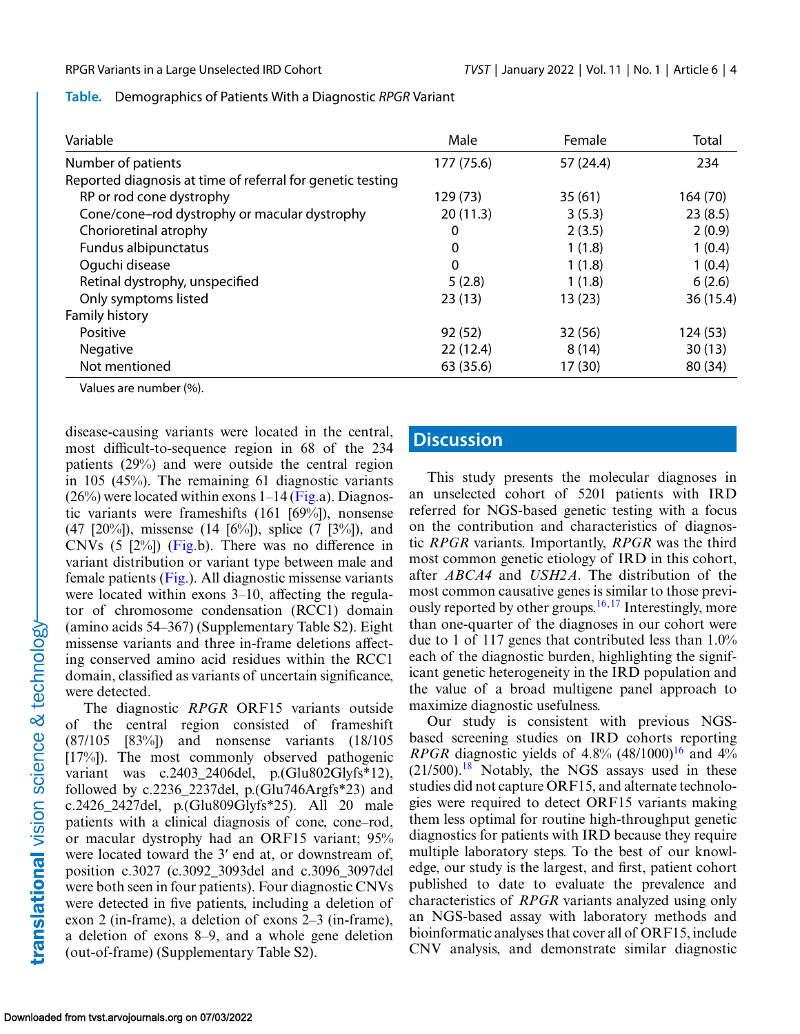<span id="page-3-0"></span>

|  |  | Table. Demographics of Patients With a Diagnostic RPGR Variant |
|--|--|----------------------------------------------------------------|
|--|--|----------------------------------------------------------------|

| Variable                                                   | Male       | Female    | Total    |
|------------------------------------------------------------|------------|-----------|----------|
| Number of patients                                         | 177 (75.6) | 57 (24.4) | 234      |
| Reported diagnosis at time of referral for genetic testing |            |           |          |
| RP or rod cone dystrophy                                   | 129 (73)   | 35(61)    | 164 (70) |
| Cone/cone-rod dystrophy or macular dystrophy               | 20(11.3)   | 3(5.3)    | 23(8.5)  |
| Chorioretinal atrophy                                      | 0          | 2(3.5)    | 2(0.9)   |
| Fundus albipunctatus                                       | 0          | 1(1.8)    | 1(0.4)   |
| Oquchi disease                                             | $\Omega$   | 1(1.8)    | 1(0.4)   |
| Retinal dystrophy, unspecified                             | 5(2.8)     | 1(1.8)    | 6(2.6)   |
| Only symptoms listed                                       | 23(13)     | 13(23)    | 36(15.4) |
| Family history                                             |            |           |          |
| Positive                                                   | 92(52)     | 32(56)    | 124 (53) |
| Negative                                                   | 22(12.4)   | 8(14)     | 30(13)   |
| Not mentioned                                              | 63 (35.6)  | 17 (30)   | 80 (34)  |

Values are number (%).

disease-causing variants were located in the central, most difficult-to-sequence region in 68 of the 234 patients (29%) and were outside the central region in 105 (45%). The remaining 61 diagnostic variants  $(26\%)$  were located within exons 1–14 [\(Fig.a](#page-4-0)). Diagnostic variants were frameshifts (161 [69%]), nonsense (47 [20%]), missense (14 [6%]), splice (7 [3%]), and CNVs (5 [2%]) [\(Fig.b](#page-4-0)). There was no difference in variant distribution or variant type between male and female patients [\(Fig.\)](#page-4-0). All diagnostic missense variants were located within exons 3–10, affecting the regulator of chromosome condensation (RCC1) domain (amino acids 54–367) (Supplementary Table S2). Eight missense variants and three in-frame deletions affecting conserved amino acid residues within the RCC1 domain, classified as variants of uncertain significance, were detected.

The diagnostic *RPGR* ORF15 variants outside of the central region consisted of frameshift (87/105 [83%]) and nonsense variants (18/105 [17%]). The most commonly observed pathogenic variant was c.2403\_2406del, p.(Glu802Glyfs\*12), followed by c.2236\_2237del, p.(Glu746Argfs\*23) and c.2426\_2427del, p.(Glu809Glyfs\*25). All 20 male patients with a clinical diagnosis of cone, cone–rod, or macular dystrophy had an ORF15 variant; 95% were located toward the 3ʹ end at, or downstream of, position c.3027 (c.3092\_3093del and c.3096\_3097del were both seen in four patients). Four diagnostic CNVs were detected in five patients, including a deletion of exon 2 (in-frame), a deletion of exons 2–3 (in-frame), a deletion of exons 8–9, and a whole gene deletion (out-of-frame) (Supplementary Table S2).

## **Discussion**

This study presents the molecular diagnoses in an unselected cohort of 5201 patients with IRD referred for NGS-based genetic testing with a focus on the contribution and characteristics of diagnostic *RPGR* variants. Importantly, *RPGR* was the third most common genetic etiology of IRD in this cohort, after *ABCA4* and *USH2A*. The distribution of the most common causative genes is similar to those previously reported by other groups.<sup>16,17</sup> Interestingly, more than one-quarter of the diagnoses in our cohort were due to 1 of 117 genes that contributed less than 1.0% each of the diagnostic burden, highlighting the significant genetic heterogeneity in the IRD population and the value of a broad multigene panel approach to maximize diagnostic usefulness.

Our study is consistent with previous NGSbased screening studies on IRD cohorts reporting *RPGR* diagnostic yields of 4.8% (48/1000)<sup>16</sup> and 4%  $(21/500).$ <sup>[18](#page-7-0)</sup> Notably, the NGS assays used in these studies did not capture ORF15, and alternate technologies were required to detect ORF15 variants making them less optimal for routine high-throughput genetic diagnostics for patients with IRD because they require multiple laboratory steps. To the best of our knowledge, our study is the largest, and first, patient cohort published to date to evaluate the prevalence and characteristics of *RPGR* variants analyzed using only an NGS-based assay with laboratory methods and bioinformatic analyses that cover all of ORF15, include CNV analysis, and demonstrate similar diagnostic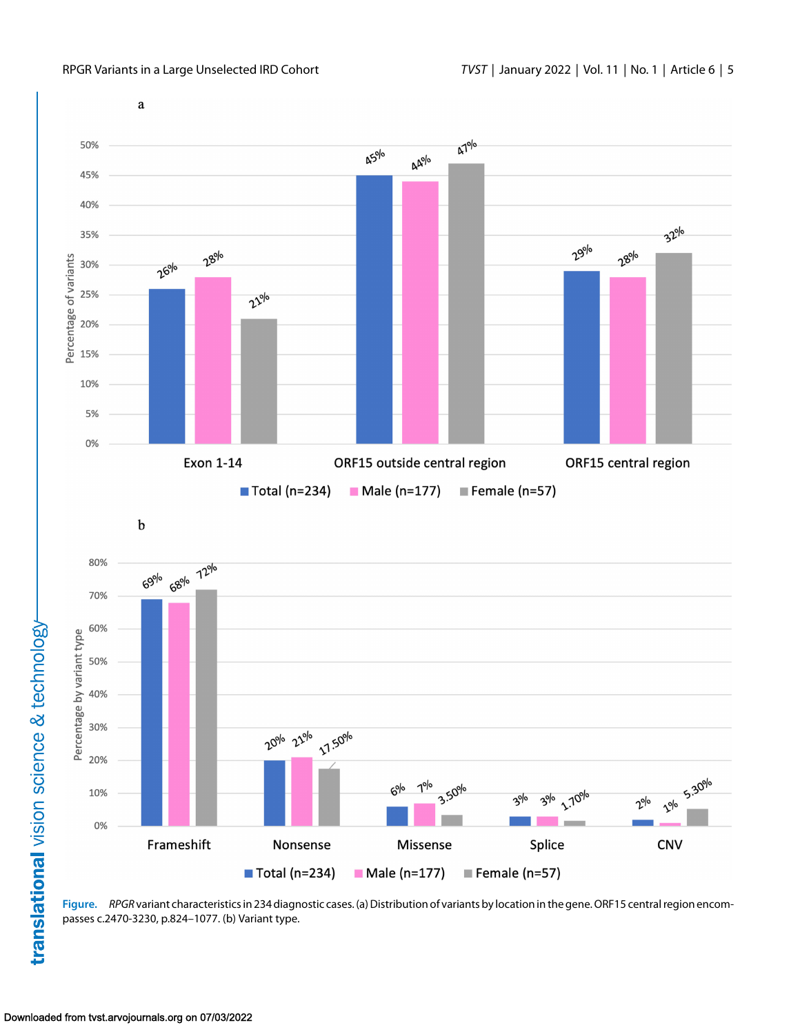<span id="page-4-0"></span>

**Figure.** *RPGR* variant characteristics in 234 diagnostic cases. (a) Distribution of variants by location in the gene. ORF15 central region encompasses c.2470-3230, p.824–1077. (b) Variant type.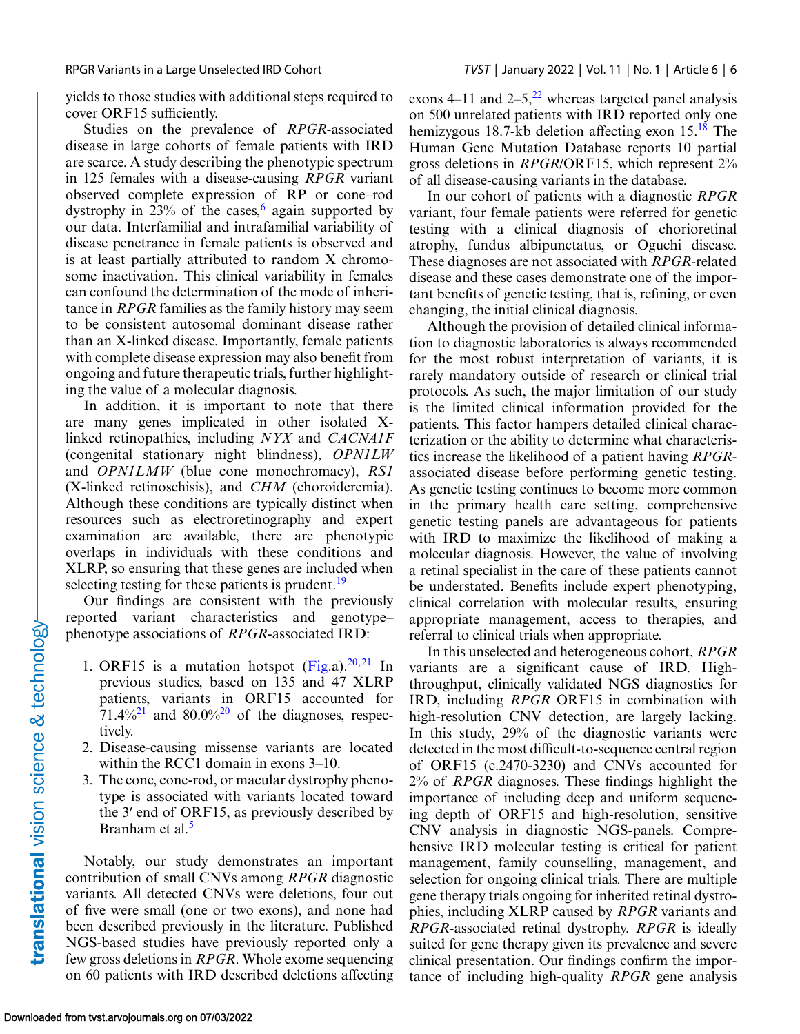yields to those studies with additional steps required to cover ORF15 sufficiently.

Studies on the prevalence of *RPGR*-associated disease in large cohorts of female patients with IRD are scarce. A study describing the phenotypic spectrum in 125 females with a disease-causing *RPGR* variant observed complete expression of RP or cone–rod dystrophy in  $23\%$  of the cases,<sup>[6](#page-6-0)</sup> again supported by our data. Interfamilial and intrafamilial variability of disease penetrance in female patients is observed and is at least partially attributed to random X chromosome inactivation. This clinical variability in females can confound the determination of the mode of inheritance in *RPGR* families as the family history may seem to be consistent autosomal dominant disease rather than an X-linked disease. Importantly, female patients with complete disease expression may also benefit from ongoing and future therapeutic trials, further highlighting the value of a molecular diagnosis.

In addition, it is important to note that there are many genes implicated in other isolated Xlinked retinopathies, including *NYX* and *CACNA1F* (congenital stationary night blindness), *OPN1LW* and *OPN1LMW* (blue cone monochromacy), *RS1* (X-linked retinoschisis), and *CHM* (choroideremia). Although these conditions are typically distinct when resources such as electroretinography and expert examination are available, there are phenotypic overlaps in individuals with these conditions and XLRP, so ensuring that these genes are included when selecting testing for these patients is prudent.<sup>19</sup>

Our findings are consistent with the previously reported variant characteristics and genotype– phenotype associations of *RPGR*-associated IRD:

- 1. ORF15 is a mutation hotspot  $(Fig.a).^{20,21}$  $(Fig.a).^{20,21}$  $(Fig.a).^{20,21}$  $(Fig.a).^{20,21}$  In previous studies, based on 135 and 47 XLRP patients, variants in ORF15 accounted for  $71.4\%$ <sup>21</sup> and 80.0%<sup>20</sup> of the diagnoses, respectively.
- 2. Disease-causing missense variants are located within the RCC1 domain in exons 3–10.
- 3. The cone, cone-rod, or macular dystrophy phenotype is associated with variants located toward the 3ʹ end of ORF15, as previously described by Branham et al.<sup>[5](#page-6-0)</sup>

Notably, our study demonstrates an important contribution of small CNVs among *RPGR* diagnostic variants. All detected CNVs were deletions, four out of five were small (one or two exons), and none had been described previously in the literature. Published NGS-based studies have previously reported only a few gross deletions in *RPGR*. Whole exome sequencing on 60 patients with IRD described deletions affecting exons 4–11 and  $2-5$ ,  $2^2$  whereas targeted panel analysis on 500 unrelated patients with IRD reported only one hemizygous [18](#page-7-0).7-kb deletion affecting exon  $15^{18}$ . The Human Gene Mutation Database reports 10 partial gross deletions in *RPGR*/ORF15, which represent 2% of all disease-causing variants in the database.

In our cohort of patients with a diagnostic *RPGR* variant, four female patients were referred for genetic testing with a clinical diagnosis of chorioretinal atrophy, fundus albipunctatus, or Oguchi disease. These diagnoses are not associated with *RPGR*-related disease and these cases demonstrate one of the important benefits of genetic testing, that is, refining, or even changing, the initial clinical diagnosis.

Although the provision of detailed clinical information to diagnostic laboratories is always recommended for the most robust interpretation of variants, it is rarely mandatory outside of research or clinical trial protocols. As such, the major limitation of our study is the limited clinical information provided for the patients. This factor hampers detailed clinical characterization or the ability to determine what characteristics increase the likelihood of a patient having *RPGR*associated disease before performing genetic testing. As genetic testing continues to become more common in the primary health care setting, comprehensive genetic testing panels are advantageous for patients with IRD to maximize the likelihood of making a molecular diagnosis. However, the value of involving a retinal specialist in the care of these patients cannot be understated. Benefits include expert phenotyping, clinical correlation with molecular results, ensuring appropriate management, access to therapies, and referral to clinical trials when appropriate.

In this unselected and heterogeneous cohort, *RPGR* variants are a significant cause of IRD. Highthroughput, clinically validated NGS diagnostics for IRD, including *RPGR* ORF15 in combination with high-resolution CNV detection, are largely lacking. In this study, 29% of the diagnostic variants were detected in the most difficult-to-sequence central region of ORF15 (c.2470-3230) and CNVs accounted for 2% of *RPGR* diagnoses. These findings highlight the importance of including deep and uniform sequencing depth of ORF15 and high-resolution, sensitive CNV analysis in diagnostic NGS-panels. Comprehensive IRD molecular testing is critical for patient management, family counselling, management, and selection for ongoing clinical trials. There are multiple gene therapy trials ongoing for inherited retinal dystrophies, including XLRP caused by *RPGR* variants and *RPGR*-associated retinal dystrophy. *RPGR* is ideally suited for gene therapy given its prevalence and severe clinical presentation. Our findings confirm the importance of including high-quality *RPGR* gene analysis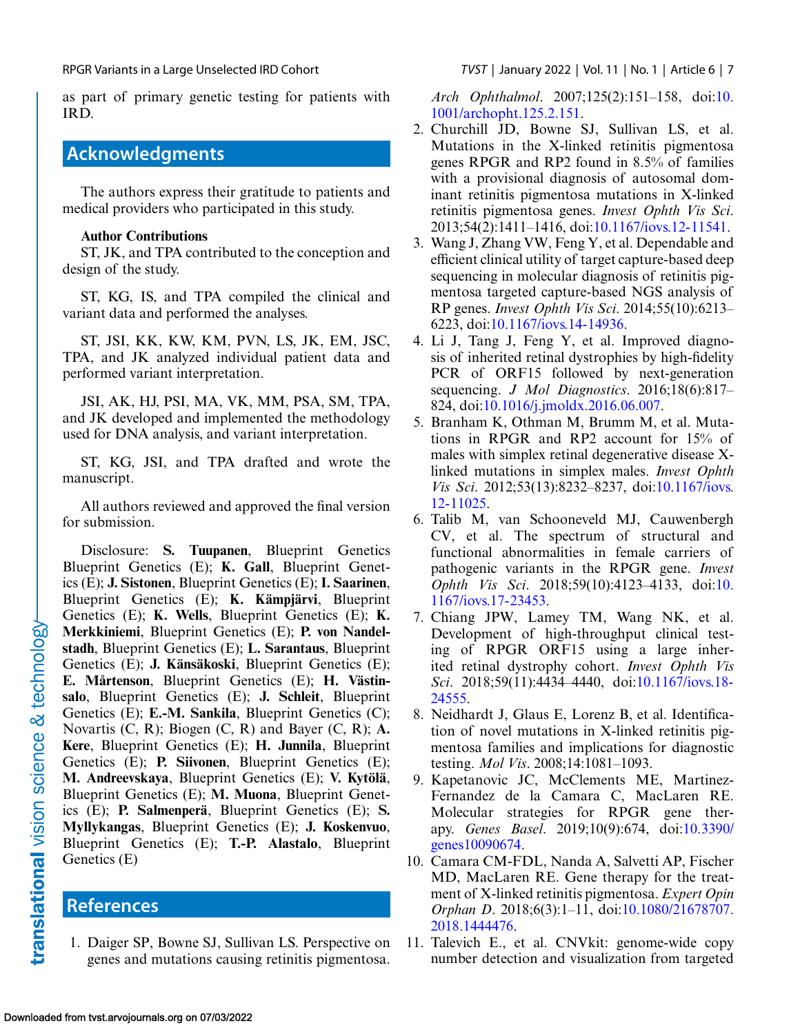as part of primary genetic testing for patients with IRD.

# **Acknowledgments**

The authors express their gratitude to patients and medical providers who participated in this study.

#### **Author Contributions**

ST, JK, and TPA contributed to the conception and design of the study.

ST, KG, IS, and TPA compiled the clinical and variant data and performed the analyses.

ST, JSI, KK, KW, KM, PVN, LS, JK, EM, JSC, TPA, and JK analyzed individual patient data and performed variant interpretation.

JSI, AK, HJ, PSI, MA, VK, MM, PSA, SM, TPA, and JK developed and implemented the methodology used for DNA analysis, and variant interpretation.

ST, KG, JSI, and TPA drafted and wrote the manuscript.

All authors reviewed and approved the final version for submission.

Disclosure: **S. Tuupanen**, Blueprint Genetics Blueprint Genetics (E); **K. Gall**, Blueprint Genetics (E); **J. Sistonen**, Blueprint Genetics (E); **I. Saarinen**, Blueprint Genetics (E); **K. Kämpjärvi**, Blueprint Genetics (E); **K. Wells**, Blueprint Genetics (E); **K. Merkkiniemi**, Blueprint Genetics (E); **P. von Nandelstadh**, Blueprint Genetics (E); **L. Sarantaus**, Blueprint Genetics (E); **J. Känsäkoski**, Blueprint Genetics (E); **E. Mårtenson**, Blueprint Genetics (E); **H. Västinsalo**, Blueprint Genetics (E); **J. Schleit**, Blueprint Genetics (E); **E.-M. Sankila**, Blueprint Genetics (C); Novartis (C, R); Biogen (C, R) and Bayer (C, R); **A. Kere**, Blueprint Genetics (E); **H. Junnila**, Blueprint Genetics (E); **P. Siivonen**, Blueprint Genetics (E); **M. Andreevskaya**, Blueprint Genetics (E); **V. Kytölä**, Blueprint Genetics (E); **M. Muona**, Blueprint Genetics (E); **P. Salmenperä**, Blueprint Genetics (E); **S. Myllykangas**, Blueprint Genetics (E); **J. Koskenvuo**, Blueprint Genetics (E); **T.-P. Alastalo**, Blueprint Genetics (E)

## **References**

1. Daiger SP, Bowne SJ, Sullivan LS. Perspective on genes and mutations causing retinitis pigmentosa.

<span id="page-6-0"></span>RPGR Variants in a Large Unselected IRD Cohort *TVST* | January 2022 | Vol. 11 | No. 1 | Article 6 | 7

*Arch Ophthalmol*[. 2007;125\(2\):151–158, doi:10.](http://doi.org/10.1001/archopht.125.2.151) 1001/archopht.125.2.151.

- 2. Churchill JD, Bowne SJ, Sullivan LS, et al. Mutations in the X-linked retinitis pigmentosa genes RPGR and RP2 found in 8.5% of families with a provisional diagnosis of autosomal dominant retinitis pigmentosa mutations in X-linked retinitis pigmentosa genes. *Invest Ophth Vis Sci*. 2013;54(2):1411–1416, doi[:10.1167/iovs.12-11541.](http://doi.org/10.1167/iovs.12-11541)
- 3. Wang J, Zhang VW, Feng Y, et al. Dependable and efficient clinical utility of target capture-based deep sequencing in molecular diagnosis of retinitis pigmentosa targeted capture-based NGS analysis of RP genes. *Invest Ophth Vis Sci*. 2014;55(10):6213– 6223, doi[:10.1167/iovs.14-14936.](http://doi.org/10.1167/iovs.14-14936)
- 4. Li J, Tang J, Feng Y, et al. Improved diagnosis of inherited retinal dystrophies by high-fidelity PCR of ORF15 followed by next-generation sequencing. *J Mol Diagnostics*. 2016;18(6):817– 824, doi[:10.1016/j.jmoldx.2016.06.007.](http://doi.org/10.1016/j.jmoldx.2016.06.007)
- 5. Branham K, Othman M, Brumm M, et al. Mutations in RPGR and RP2 account for 15% of males with simplex retinal degenerative disease Xlinked mutations in simplex males. *Invest Ophth Vis Sci*[. 2012;53\(13\):8232–8237, doi:10.1167/iovs.](http://doi.org/10.1167/iovs.12-11025) 12-11025.
- 6. Talib M, van Schooneveld MJ, Cauwenbergh CV, et al. The spectrum of structural and functional abnormalities in female carriers of pathogenic variants in the RPGR gene. *Invest Ophth Vis Sci*[. 2018;59\(10\):4123–4133, doi:10.](http://doi.org/10.1167/iovs.17-23453) 1167/iovs.17-23453.
- 7. Chiang JPW, Lamey TM, Wang NK, et al. Development of high-throughput clinical testing of RPGR ORF15 using a large inherited retinal dystrophy cohort. *Invest Ophth Vis Sci*[. 2018;59\(11\):4434–4440, doi:10.1167/iovs.18-](http://doi.org/10.1167/iovs.18-24555) 24555.
- 8. Neidhardt J, Glaus E, Lorenz B, et al. Identification of novel mutations in X-linked retinitis pigmentosa families and implications for diagnostic testing. *Mol Vis*. 2008;14:1081–1093.
- 9. Kapetanovic JC, McClements ME, Martinez-Fernandez de la Camara C, MacLaren RE. Molecular strategies for RPGR gene therapy. *Genes Basel*[. 2019;10\(9\):674, doi:10.3390/](http://doi.org/10.3390/genes10090674) genes10090674.
- 10. Camara CM-FDL, Nanda A, Salvetti AP, Fischer MD, MacLaren RE. Gene therapy for the treatment of X-linked retinitis pigmentosa. *Expert Opin Orphan D*[. 2018;6\(3\):1–11, doi:10.1080/21678707.](http://doi.org/10.1080/21678707.2018.1444476) 2018.1444476.
- 11. Talevich E., et al. CNVkit: genome-wide copy number detection and visualization from targeted